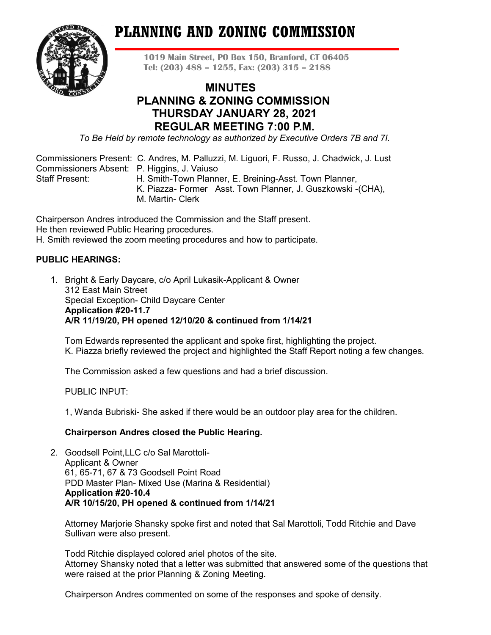# **PLANNING AND ZONING COMMISSION**



**1019 Main Street, PO Box 150, Branford, CT 06405 Tel: (203) 488 – 1255, Fax: (203) 315 – 2188**

## **MINUTES PLANNING & ZONING COMMISSION THURSDAY JANUARY 28, 2021 REGULAR MEETING 7:00 P.M.**

*To Be Held by remote technology as authorized by Executive Orders 7B and 7I.*

Commissioners Present: C. Andres, M. Palluzzi, M. Liguori, F. Russo, J. Chadwick, J. Lust Commissioners Absent: P. Higgins, J. Vaiuso Staff Present: H. Smith-Town Planner, E. Breining-Asst. Town Planner,

- K. Piazza- Former Asst. Town Planner, J. Guszkowski -(CHA),
- M. Martin- Clerk

Chairperson Andres introduced the Commission and the Staff present. He then reviewed Public Hearing procedures. H. Smith reviewed the zoom meeting procedures and how to participate.

## **PUBLIC HEARINGS:**

1. Bright & Early Daycare, c/o April Lukasik-Applicant & Owner 312 East Main Street Special Exception- Child Daycare Center **Application #20-11.7 A/R 11/19/20, PH opened 12/10/20 & continued from 1/14/21**

Tom Edwards represented the applicant and spoke first, highlighting the project. K. Piazza briefly reviewed the project and highlighted the Staff Report noting a few changes.

The Commission asked a few questions and had a brief discussion.

#### PUBLIC INPUT:

1, Wanda Bubriski- She asked if there would be an outdoor play area for the children.

## **Chairperson Andres closed the Public Hearing.**

2. Goodsell Point,LLC c/o Sal Marottoli-Applicant & Owner 61, 65-71, 67 & 73 Goodsell Point Road PDD Master Plan- Mixed Use (Marina & Residential) **Application #20-10.4 A/R 10/15/20, PH opened & continued from 1/14/21**

Attorney Marjorie Shansky spoke first and noted that Sal Marottoli, Todd Ritchie and Dave Sullivan were also present.

Todd Ritchie displayed colored ariel photos of the site. Attorney Shansky noted that a letter was submitted that answered some of the questions that were raised at the prior Planning & Zoning Meeting.

Chairperson Andres commented on some of the responses and spoke of density.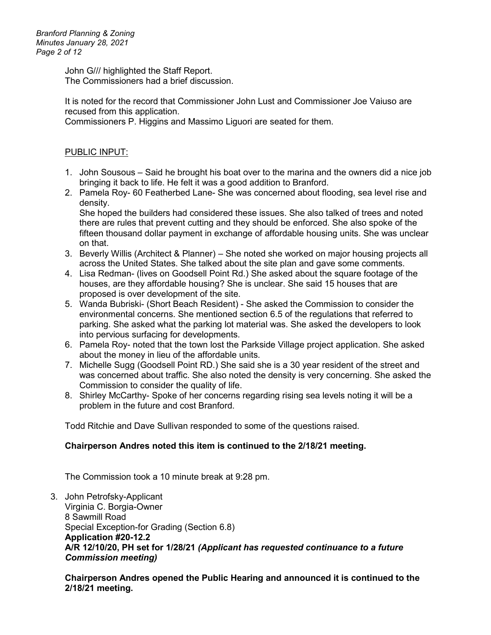John G/// highlighted the Staff Report. The Commissioners had a brief discussion.

It is noted for the record that Commissioner John Lust and Commissioner Joe Vaiuso are recused from this application.

Commissioners P. Higgins and Massimo Liguori are seated for them.

## PUBLIC INPUT:

- 1. John Sousous Said he brought his boat over to the marina and the owners did a nice job bringing it back to life. He felt it was a good addition to Branford.
- 2. Pamela Roy- 60 Featherbed Lane- She was concerned about flooding, sea level rise and density.

She hoped the builders had considered these issues. She also talked of trees and noted there are rules that prevent cutting and they should be enforced. She also spoke of the fifteen thousand dollar payment in exchange of affordable housing units. She was unclear on that.

- 3. Beverly Willis (Architect & Planner) She noted she worked on major housing projects all across the United States. She talked about the site plan and gave some comments.
- 4. Lisa Redman- (lives on Goodsell Point Rd.) She asked about the square footage of the houses, are they affordable housing? She is unclear. She said 15 houses that are proposed is over development of the site.
- 5. Wanda Bubriski- (Short Beach Resident) She asked the Commission to consider the environmental concerns. She mentioned section 6.5 of the regulations that referred to parking. She asked what the parking lot material was. She asked the developers to look into pervious surfacing for developments.
- 6. Pamela Roy- noted that the town lost the Parkside Village project application. She asked about the money in lieu of the affordable units.
- 7. Michelle Sugg (Goodsell Point RD.) She said she is a 30 year resident of the street and was concerned about traffic. She also noted the density is very concerning. She asked the Commission to consider the quality of life.
- 8. Shirley McCarthy- Spoke of her concerns regarding rising sea levels noting it will be a problem in the future and cost Branford.

Todd Ritchie and Dave Sullivan responded to some of the questions raised.

## **Chairperson Andres noted this item is continued to the 2/18/21 meeting.**

The Commission took a 10 minute break at 9:28 pm.

3. John Petrofsky-Applicant Virginia C. Borgia-Owner 8 Sawmill Road Special Exception-for Grading (Section 6.8) **Application #20-12.2 A/R 12/10/20, PH set for 1/28/21** *(Applicant has requested continuance to a future Commission meeting)*

**Chairperson Andres opened the Public Hearing and announced it is continued to the 2/18/21 meeting.**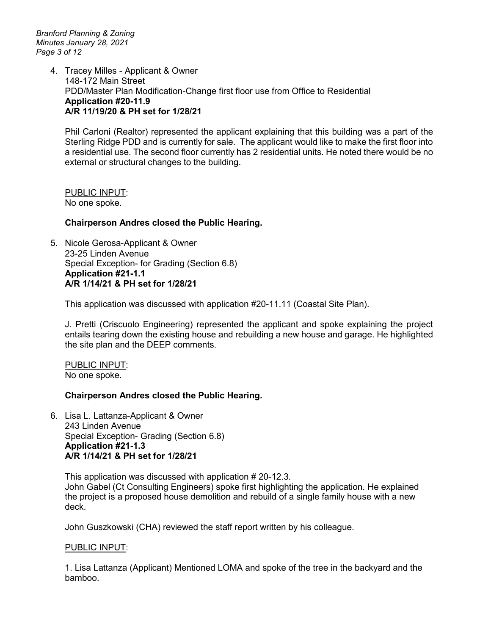*Branford Planning & Zoning Minutes January 28, 2021 Page 3 of 12*

> 4. Tracey Milles - Applicant & Owner 148-172 Main Street PDD/Master Plan Modification-Change first floor use from Office to Residential **Application #20-11.9 A/R 11/19/20 & PH set for 1/28/21**

Phil Carloni (Realtor) represented the applicant explaining that this building was a part of the Sterling Ridge PDD and is currently for sale. The applicant would like to make the first floor into a residential use. The second floor currently has 2 residential units. He noted there would be no external or structural changes to the building.

PUBLIC INPUT: No one spoke.

#### **Chairperson Andres closed the Public Hearing.**

5. Nicole Gerosa-Applicant & Owner 23-25 Linden Avenue Special Exception- for Grading (Section 6.8) **Application #21-1.1 A/R 1/14/21 & PH set for 1/28/21**

This application was discussed with application #20-11.11 (Coastal Site Plan).

J. Pretti (Criscuolo Engineering) represented the applicant and spoke explaining the project entails tearing down the existing house and rebuilding a new house and garage. He highlighted the site plan and the DEEP comments.

PUBLIC INPUT: No one spoke.

#### **Chairperson Andres closed the Public Hearing.**

6. Lisa L. Lattanza-Applicant & Owner 243 Linden Avenue Special Exception- Grading (Section 6.8) **Application #21-1.3 A/R 1/14/21 & PH set for 1/28/21**

This application was discussed with application # 20-12.3. John Gabel (Ct Consulting Engineers) spoke first highlighting the application. He explained the project is a proposed house demolition and rebuild of a single family house with a new deck.

John Guszkowski (CHA) reviewed the staff report written by his colleague.

#### PUBLIC INPUT:

1. Lisa Lattanza (Applicant) Mentioned LOMA and spoke of the tree in the backyard and the bamboo.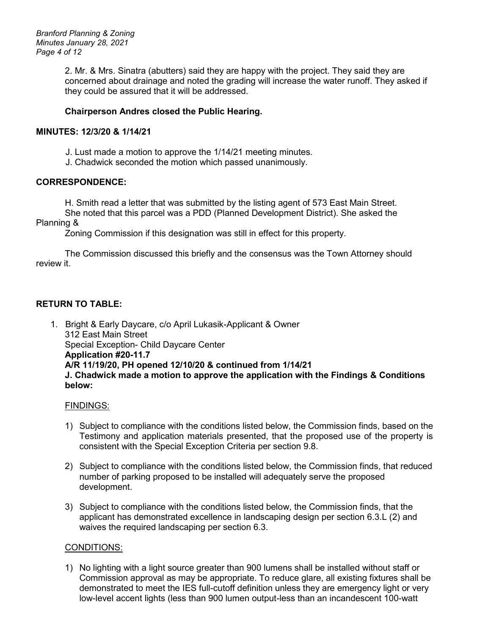*Branford Planning & Zoning Minutes January 28, 2021 Page 4 of 12*

> 2. Mr. & Mrs. Sinatra (abutters) said they are happy with the project. They said they are concerned about drainage and noted the grading will increase the water runoff. They asked if they could be assured that it will be addressed.

#### **Chairperson Andres closed the Public Hearing.**

#### **MINUTES: 12/3/20 & 1/14/21**

J. Lust made a motion to approve the 1/14/21 meeting minutes.

J. Chadwick seconded the motion which passed unanimously.

#### **CORRESPONDENCE:**

H. Smith read a letter that was submitted by the listing agent of 573 East Main Street.

She noted that this parcel was a PDD (Planned Development District). She asked the Planning &

Zoning Commission if this designation was still in effect for this property.

The Commission discussed this briefly and the consensus was the Town Attorney should review it

## **RETURN TO TABLE:**

1. Bright & Early Daycare, c/o April Lukasik-Applicant & Owner 312 East Main Street Special Exception- Child Daycare Center **Application #20-11.7 A/R 11/19/20, PH opened 12/10/20 & continued from 1/14/21 J. Chadwick made a motion to approve the application with the Findings & Conditions below:**

#### FINDINGS:

- 1) Subject to compliance with the conditions listed below, the Commission finds, based on the Testimony and application materials presented, that the proposed use of the property is consistent with the Special Exception Criteria per section 9.8.
- 2) Subject to compliance with the conditions listed below, the Commission finds, that reduced number of parking proposed to be installed will adequately serve the proposed development.
- 3) Subject to compliance with the conditions listed below, the Commission finds, that the applicant has demonstrated excellence in landscaping design per section 6.3.L (2) and waives the required landscaping per section 6.3.

#### CONDITIONS:

1) No lighting with a light source greater than 900 lumens shall be installed without staff or Commission approval as may be appropriate. To reduce glare, all existing fixtures shall be demonstrated to meet the IES full-cutoff definition unless they are emergency light or very low-level accent lights (less than 900 lumen output-less than an incandescent 100-watt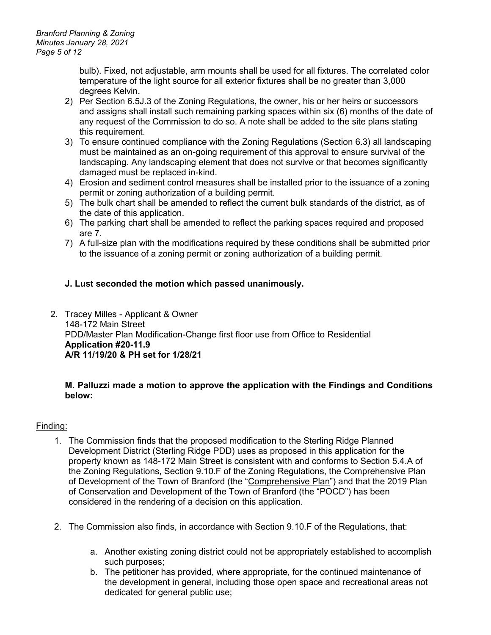bulb). Fixed, not adjustable, arm mounts shall be used for all fixtures. The correlated color temperature of the light source for all exterior fixtures shall be no greater than 3,000 degrees Kelvin.

- 2) Per Section 6.5J.3 of the Zoning Regulations, the owner, his or her heirs or successors and assigns shall install such remaining parking spaces within six (6) months of the date of any request of the Commission to do so. A note shall be added to the site plans stating this requirement.
- 3) To ensure continued compliance with the Zoning Regulations (Section 6.3) all landscaping must be maintained as an on-going requirement of this approval to ensure survival of the landscaping. Any landscaping element that does not survive or that becomes significantly damaged must be replaced in-kind.
- 4) Erosion and sediment control measures shall be installed prior to the issuance of a zoning permit or zoning authorization of a building permit.
- 5) The bulk chart shall be amended to reflect the current bulk standards of the district, as of the date of this application.
- 6) The parking chart shall be amended to reflect the parking spaces required and proposed are 7.
- 7) A full-size plan with the modifications required by these conditions shall be submitted prior to the issuance of a zoning permit or zoning authorization of a building permit.

## **J. Lust seconded the motion which passed unanimously.**

2. Tracey Milles - Applicant & Owner 148-172 Main Street PDD/Master Plan Modification-Change first floor use from Office to Residential **Application #20-11.9 A/R 11/19/20 & PH set for 1/28/21**

#### **M. Palluzzi made a motion to approve the application with the Findings and Conditions below:**

## Finding:

- 1. The Commission finds that the proposed modification to the Sterling Ridge Planned Development District (Sterling Ridge PDD) uses as proposed in this application for the property known as 148-172 Main Street is consistent with and conforms to Section 5.4.A of the Zoning Regulations, Section 9.10.F of the Zoning Regulations, the Comprehensive Plan of Development of the Town of Branford (the "Comprehensive Plan") and that the 2019 Plan of Conservation and Development of the Town of Branford (the "POCD") has been considered in the rendering of a decision on this application.
- 2. The Commission also finds, in accordance with Section 9.10.F of the Regulations, that:
	- a. Another existing zoning district could not be appropriately established to accomplish such purposes;
	- b. The petitioner has provided, where appropriate, for the continued maintenance of the development in general, including those open space and recreational areas not dedicated for general public use: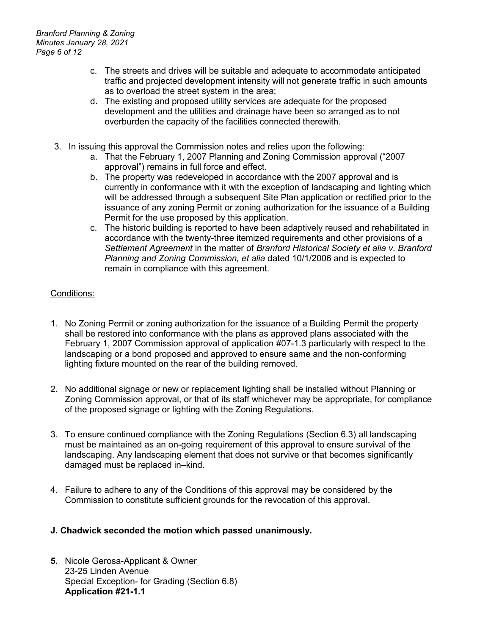- c. The streets and drives will be suitable and adequate to accommodate anticipated traffic and projected development intensity will not generate traffic in such amounts as to overload the street system in the area;
- d. The existing and proposed utility services are adequate for the proposed development and the utilities and drainage have been so arranged as to not overburden the capacity of the facilities connected therewith.
- 3. In issuing this approval the Commission notes and relies upon the following:
	- a. That the February 1, 2007 Planning and Zoning Commission approval ("2007 approval") remains in full force and effect.
	- b. The property was redeveloped in accordance with the 2007 approval and is currently in conformance with it with the exception of landscaping and lighting which will be addressed through a subsequent Site Plan application or rectified prior to the issuance of any zoning Permit or zoning authorization for the issuance of a Building Permit for the use proposed by this application.
	- c. The historic building is reported to have been adaptively reused and rehabilitated in accordance with the twenty-three itemized requirements and other provisions of a *Settlement Agreement* in the matter of *Branford Historical Society et alia v. Branford Planning and Zoning Commission, et alia* dated 10/1/2006 and is expected to remain in compliance with this agreement.

## Conditions:

- 1. No Zoning Permit or zoning authorization for the issuance of a Building Permit the property shall be restored into conformance with the plans as approved plans associated with the February 1, 2007 Commission approval of application #07-1.3 particularly with respect to the landscaping or a bond proposed and approved to ensure same and the non-conforming lighting fixture mounted on the rear of the building removed.
- 2. No additional signage or new or replacement lighting shall be installed without Planning or Zoning Commission approval, or that of its staff whichever may be appropriate, for compliance of the proposed signage or lighting with the Zoning Regulations.
- 3. To ensure continued compliance with the Zoning Regulations (Section 6.3) all landscaping must be maintained as an on-going requirement of this approval to ensure survival of the landscaping. Any landscaping element that does not survive or that becomes significantly damaged must be replaced in–kind.
- 4. Failure to adhere to any of the Conditions of this approval may be considered by the Commission to constitute sufficient grounds for the revocation of this approval.

#### **J. Chadwick seconded the motion which passed unanimously.**

**5.** Nicole Gerosa-Applicant & Owner 23-25 Linden Avenue Special Exception- for Grading (Section 6.8) **Application #21-1.1**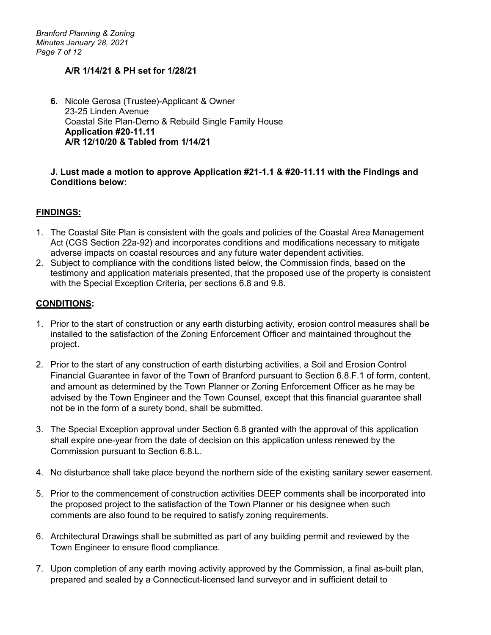*Branford Planning & Zoning Minutes January 28, 2021 Page 7 of 12*

#### **A/R 1/14/21 & PH set for 1/28/21**

**6.** Nicole Gerosa (Trustee)-Applicant & Owner 23-25 Linden Avenue Coastal Site Plan-Demo & Rebuild Single Family House **Application #20-11.11 A/R 12/10/20 & Tabled from 1/14/21**

#### **J. Lust made a motion to approve Application #21-1.1 & #20-11.11 with the Findings and Conditions below:**

#### **FINDINGS:**

- 1. The Coastal Site Plan is consistent with the goals and policies of the Coastal Area Management Act (CGS Section 22a-92) and incorporates conditions and modifications necessary to mitigate adverse impacts on coastal resources and any future water dependent activities.
- 2. Subject to compliance with the conditions listed below, the Commission finds, based on the testimony and application materials presented, that the proposed use of the property is consistent with the Special Exception Criteria, per sections 6.8 and 9.8.

#### **CONDITIONS:**

- 1. Prior to the start of construction or any earth disturbing activity, erosion control measures shall be installed to the satisfaction of the Zoning Enforcement Officer and maintained throughout the project.
- 2. Prior to the start of any construction of earth disturbing activities, a Soil and Erosion Control Financial Guarantee in favor of the Town of Branford pursuant to Section 6.8.F.1 of form, content, and amount as determined by the Town Planner or Zoning Enforcement Officer as he may be advised by the Town Engineer and the Town Counsel, except that this financial guarantee shall not be in the form of a surety bond, shall be submitted.
- 3. The Special Exception approval under Section 6.8 granted with the approval of this application shall expire one-year from the date of decision on this application unless renewed by the Commission pursuant to Section 6.8.L.
- 4. No disturbance shall take place beyond the northern side of the existing sanitary sewer easement.
- 5. Prior to the commencement of construction activities DEEP comments shall be incorporated into the proposed project to the satisfaction of the Town Planner or his designee when such comments are also found to be required to satisfy zoning requirements.
- 6. Architectural Drawings shall be submitted as part of any building permit and reviewed by the Town Engineer to ensure flood compliance.
- 7. Upon completion of any earth moving activity approved by the Commission, a final as-built plan, prepared and sealed by a Connecticut-licensed land surveyor and in sufficient detail to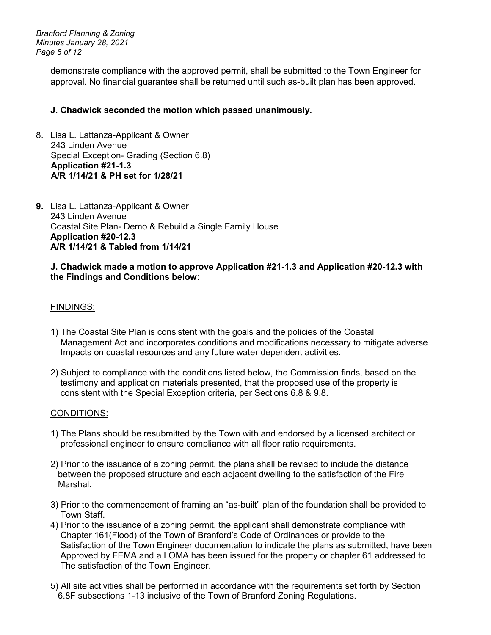*Branford Planning & Zoning Minutes January 28, 2021 Page 8 of 12*

> demonstrate compliance with the approved permit, shall be submitted to the Town Engineer for approval. No financial guarantee shall be returned until such as-built plan has been approved.

## **J. Chadwick seconded the motion which passed unanimously.**

- 8. Lisa L. Lattanza-Applicant & Owner 243 Linden Avenue Special Exception- Grading (Section 6.8)  **Application #21-1.3 A/R 1/14/21 & PH set for 1/28/21**
- **9.** Lisa L. Lattanza-Applicant & Owner 243 Linden Avenue Coastal Site Plan- Demo & Rebuild a Single Family House **Application #20-12.3 A/R 1/14/21 & Tabled from 1/14/21**

#### **J. Chadwick made a motion to approve Application #21-1.3 and Application #20-12.3 with the Findings and Conditions below:**

#### FINDINGS:

- 1) The Coastal Site Plan is consistent with the goals and the policies of the Coastal Management Act and incorporates conditions and modifications necessary to mitigate adverse Impacts on coastal resources and any future water dependent activities.
- 2) Subject to compliance with the conditions listed below, the Commission finds, based on the testimony and application materials presented, that the proposed use of the property is consistent with the Special Exception criteria, per Sections 6.8 & 9.8.

#### CONDITIONS:

- 1) The Plans should be resubmitted by the Town with and endorsed by a licensed architect or professional engineer to ensure compliance with all floor ratio requirements.
- 2) Prior to the issuance of a zoning permit, the plans shall be revised to include the distance between the proposed structure and each adjacent dwelling to the satisfaction of the Fire Marshal.
- 3) Prior to the commencement of framing an "as-built" plan of the foundation shall be provided to Town Staff.
- 4) Prior to the issuance of a zoning permit, the applicant shall demonstrate compliance with Chapter 161(Flood) of the Town of Branford's Code of Ordinances or provide to the Satisfaction of the Town Engineer documentation to indicate the plans as submitted, have been Approved by FEMA and a LOMA has been issued for the property or chapter 61 addressed to The satisfaction of the Town Engineer.
- 5) All site activities shall be performed in accordance with the requirements set forth by Section 6.8F subsections 1-13 inclusive of the Town of Branford Zoning Regulations.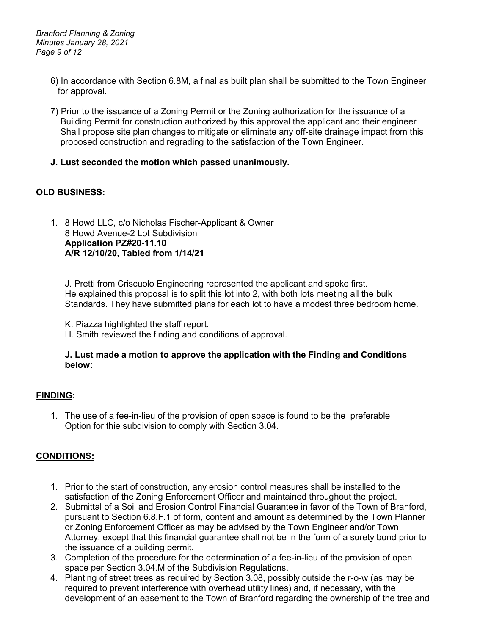*Branford Planning & Zoning Minutes January 28, 2021 Page 9 of 12*

- 6) In accordance with Section 6.8M, a final as built plan shall be submitted to the Town Engineer for approval.
- 7) Prior to the issuance of a Zoning Permit or the Zoning authorization for the issuance of a Building Permit for construction authorized by this approval the applicant and their engineer Shall propose site plan changes to mitigate or eliminate any off-site drainage impact from this proposed construction and regrading to the satisfaction of the Town Engineer.
- **J. Lust seconded the motion which passed unanimously.**

#### **OLD BUSINESS:**

1. 8 Howd LLC, c/o Nicholas Fischer-Applicant & Owner 8 Howd Avenue-2 Lot Subdivision **Application PZ#20-11.10 A/R 12/10/20, Tabled from 1/14/21**

J. Pretti from Criscuolo Engineering represented the applicant and spoke first. He explained this proposal is to split this lot into 2, with both lots meeting all the bulk Standards. They have submitted plans for each lot to have a modest three bedroom home.

K. Piazza highlighted the staff report.

H. Smith reviewed the finding and conditions of approval.

#### **J. Lust made a motion to approve the application with the Finding and Conditions below:**

#### **FINDING:**

1. The use of a fee-in-lieu of the provision of open space is found to be the preferable Option for thie subdivision to comply with Section 3.04.

#### **CONDITIONS:**

- 1. Prior to the start of construction, any erosion control measures shall be installed to the satisfaction of the Zoning Enforcement Officer and maintained throughout the project.
- 2. Submittal of a Soil and Erosion Control Financial Guarantee in favor of the Town of Branford, pursuant to Section 6.8.F.1 of form, content and amount as determined by the Town Planner or Zoning Enforcement Officer as may be advised by the Town Engineer and/or Town Attorney, except that this financial guarantee shall not be in the form of a surety bond prior to the issuance of a building permit.
- 3. Completion of the procedure for the determination of a fee-in-lieu of the provision of open space per Section 3.04.M of the Subdivision Regulations.
- 4. Planting of street trees as required by Section 3.08, possibly outside the r-o-w (as may be required to prevent interference with overhead utility lines) and, if necessary, with the development of an easement to the Town of Branford regarding the ownership of the tree and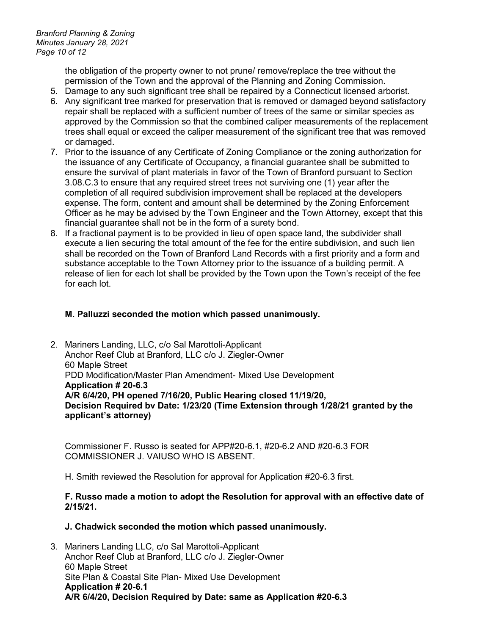*Branford Planning & Zoning Minutes January 28, 2021 Page 10 of 12*

> the obligation of the property owner to not prune/ remove/replace the tree without the permission of the Town and the approval of the Planning and Zoning Commission.

- 5. Damage to any such significant tree shall be repaired by a Connecticut licensed arborist.
- 6. Any significant tree marked for preservation that is removed or damaged beyond satisfactory repair shall be replaced with a sufficient number of trees of the same or similar species as approved by the Commission so that the combined caliper measurements of the replacement trees shall equal or exceed the caliper measurement of the significant tree that was removed or damaged.
- 7. Prior to the issuance of any Certificate of Zoning Compliance or the zoning authorization for the issuance of any Certificate of Occupancy, a financial guarantee shall be submitted to ensure the survival of plant materials in favor of the Town of Branford pursuant to Section 3.08.C.3 to ensure that any required street trees not surviving one (1) year after the completion of all required subdivision improvement shall be replaced at the developers expense. The form, content and amount shall be determined by the Zoning Enforcement Officer as he may be advised by the Town Engineer and the Town Attorney, except that this financial guarantee shall not be in the form of a surety bond.
- 8. If a fractional payment is to be provided in lieu of open space land, the subdivider shall execute a lien securing the total amount of the fee for the entire subdivision, and such lien shall be recorded on the Town of Branford Land Records with a first priority and a form and substance acceptable to the Town Attorney prior to the issuance of a building permit. A release of lien for each lot shall be provided by the Town upon the Town's receipt of the fee for each lot.

#### **M. Palluzzi seconded the motion which passed unanimously.**

2. Mariners Landing, LLC, c/o Sal Marottoli-Applicant Anchor Reef Club at Branford, LLC c/o J. Ziegler-Owner 60 Maple Street PDD Modification/Master Plan Amendment- Mixed Use Development **Application # 20-6.3 A/R 6/4/20, PH opened 7/16/20, Public Hearing closed 11/19/20, Decision Required bv Date: 1/23/20 (Time Extension through 1/28/21 granted by the applicant's attorney)**

Commissioner F. Russo is seated for APP#20-6.1, #20-6.2 AND #20-6.3 FOR COMMISSIONER J. VAIUSO WHO IS ABSENT.

H. Smith reviewed the Resolution for approval for Application #20-6.3 first.

#### **F. Russo made a motion to adopt the Resolution for approval with an effective date of 2/15/21.**

#### **J. Chadwick seconded the motion which passed unanimously.**

3. Mariners Landing LLC, c/o Sal Marottoli-Applicant Anchor Reef Club at Branford, LLC c/o J. Ziegler-Owner 60 Maple Street Site Plan & Coastal Site Plan- Mixed Use Development **Application # 20-6.1 A/R 6/4/20, Decision Required by Date: same as Application #20-6.3**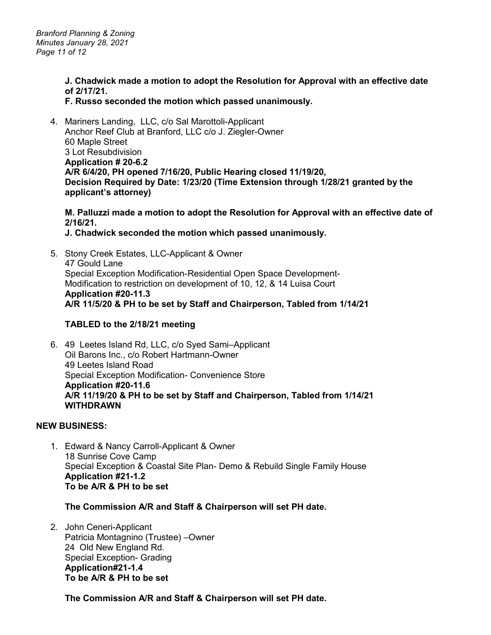*Branford Planning & Zoning Minutes January 28, 2021 Page 11 of 12*

> **J. Chadwick made a motion to adopt the Resolution for Approval with an effective date of 2/17/21.**

#### **F. Russo seconded the motion which passed unanimously.**

4. Mariners Landing, LLC, c/o Sal Marottoli-Applicant Anchor Reef Club at Branford, LLC c/o J. Ziegler-Owner 60 Maple Street 3 Lot Resubdivision **Application # 20-6.2 A/R 6/4/20, PH opened 7/16/20, Public Hearing closed 11/19/20, Decision Required by Date: 1/23/20 (Time Extension through 1/28/21 granted by the applicant's attorney)**

## **M. Palluzzi made a motion to adopt the Resolution for Approval with an effective date of 2/16/21.**

#### **J. Chadwick seconded the motion which passed unanimously.**

5. Stony Creek Estates, LLC-Applicant & Owner 47 Gould Lane Special Exception Modification-Residential Open Space Development-Modification to restriction on development of 10, 12, & 14 Luisa Court **Application #20-11.3 A/R 11/5/20 & PH to be set by Staff and Chairperson, Tabled from 1/14/21**

#### **TABLED to the 2/18/21 meeting**

6. 49 Leetes Island Rd, LLC, c/o Syed Sami–Applicant Oil Barons Inc., c/o Robert Hartmann-Owner 49 Leetes Island Road Special Exception Modification- Convenience Store **Application #20-11.6 A/R 11/19/20 & PH to be set by Staff and Chairperson, Tabled from 1/14/21 WITHDRAWN** 

#### **NEW BUSINESS:**

1. Edward & Nancy Carroll-Applicant & Owner 18 Sunrise Cove Camp Special Exception & Coastal Site Plan- Demo & Rebuild Single Family House **Application #21-1.2 To be A/R & PH to be set** 

#### **The Commission A/R and Staff & Chairperson will set PH date.**

2. John Ceneri-Applicant Patricia Montagnino (Trustee) –Owner 24 Old New England Rd. Special Exception- Grading **Application#21-1.4 To be A/R & PH to be set**

**The Commission A/R and Staff & Chairperson will set PH date.**